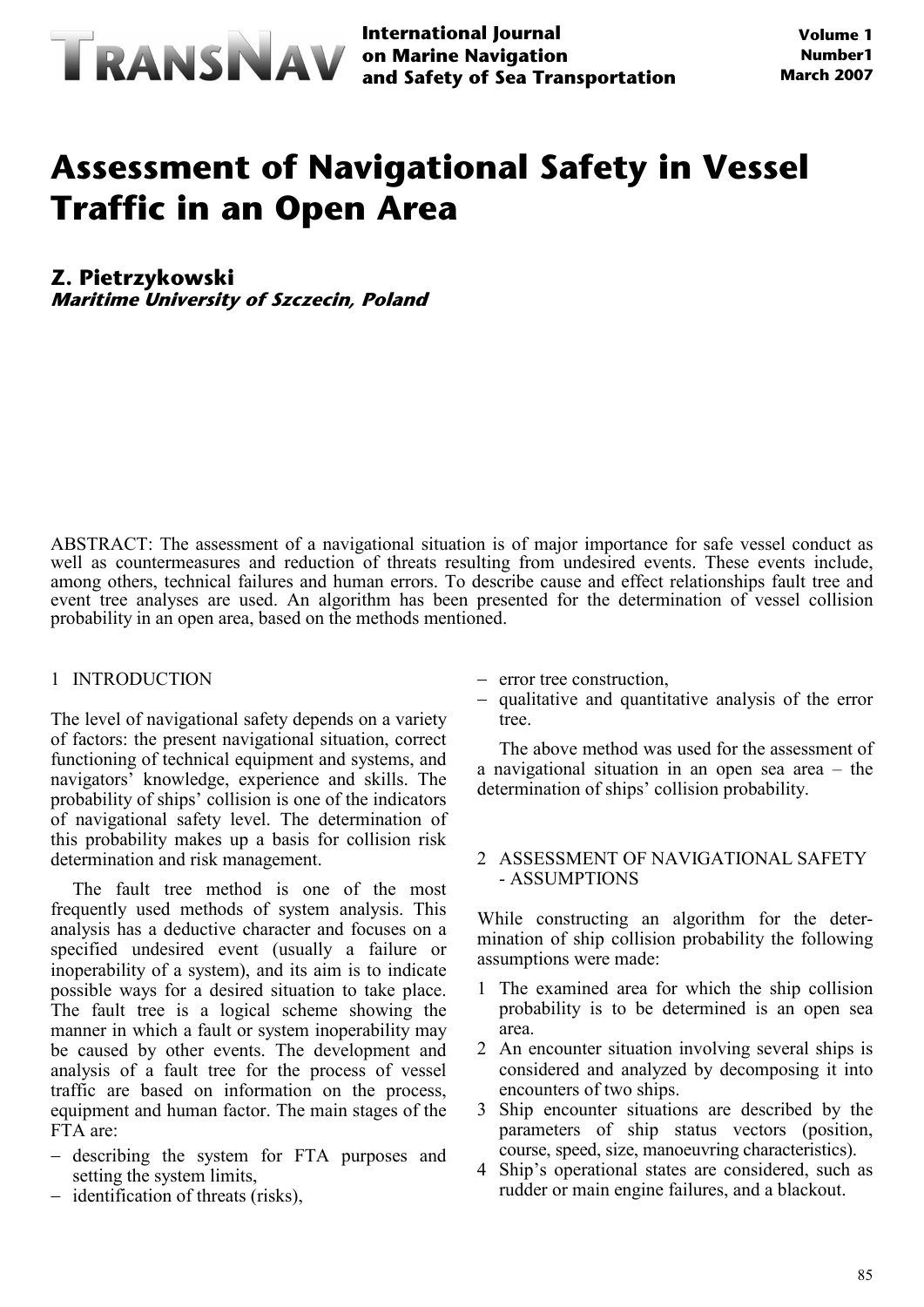

**International Journal and Safety of Sea Transportation**

# **Assessment of Navigational Safety in Vessel Traffic in an Open Area**

**Z. Pietrzykowski**

**Maritime University of Szczecin, Poland**

ABSTRACT: The assessment of a navigational situation is of major importance for safe vessel conduct as well as countermeasures and reduction of threats resulting from undesired events. These events include, among others, technical failures and human errors. To describe cause and effect relationships fault tree and event tree analyses are used. An algorithm has been presented for the determination of vessel collision probability in an open area, based on the methods mentioned.

#### 1 INTRODUCTION

The level of navigational safety depends on a variety of factors: the present navigational situation, correct functioning of technical equipment and systems, and navigators' knowledge, experience and skills. The probability of ships' collision is one of the indicators of navigational safety level. The determination of this probability makes up a basis for collision risk determination and risk management.

The fault tree method is one of the most frequently used methods of system analysis. This analysis has a deductive character and focuses on a specified undesired event (usually a failure or inoperability of a system), and its aim is to indicate possible ways for a desired situation to take place. The fault tree is a logical scheme showing the manner in which a fault or system inoperability may be caused by other events. The development and analysis of a fault tree for the process of vessel traffic are based on information on the process, equipment and human factor. The main stages of the FTA are:

- − describing the system for FTA purposes and setting the system limits,
- − identification of threats (risks),
- − error tree construction,
- − qualitative and quantitative analysis of the error tree.

The above method was used for the assessment of a navigational situation in an open sea area – the determination of ships' collision probability.

### 2 ASSESSMENT OF NAVIGATIONAL SAFETY - ASSUMPTIONS

While constructing an algorithm for the determination of ship collision probability the following assumptions were made:

- 1 The examined area for which the ship collision probability is to be determined is an open sea area.
- 2 An encounter situation involving several ships is considered and analyzed by decomposing it into encounters of two ships.
- 3 Ship encounter situations are described by the parameters of ship status vectors (position, course, speed, size, manoeuvring characteristics).
- 4 Ship's operational states are considered, such as rudder or main engine failures, and a blackout.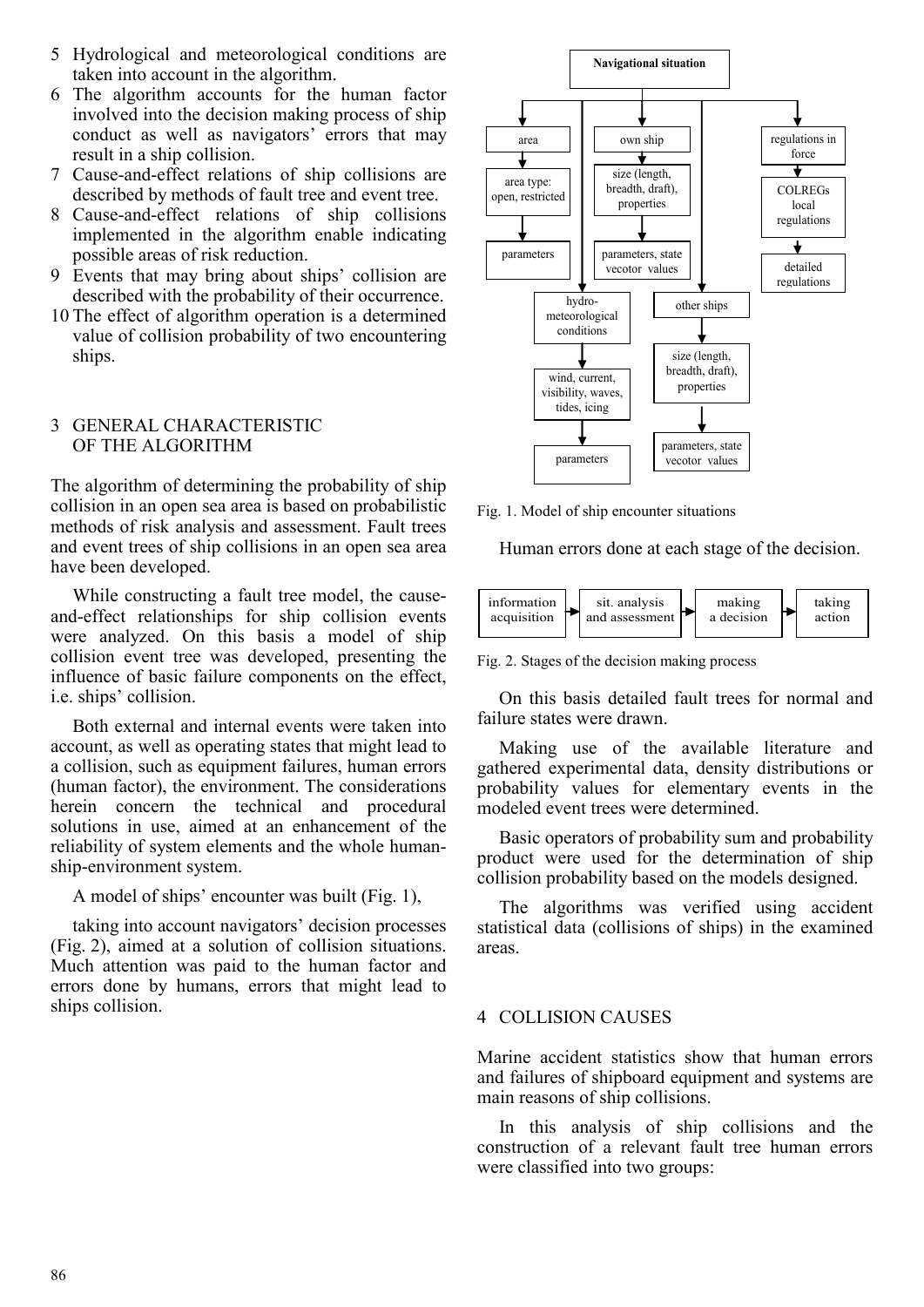- 5 Hydrological and meteorological conditions are taken into account in the algorithm.
- 6 The algorithm accounts for the human factor involved into the decision making process of ship conduct as well as navigators' errors that may result in a ship collision.
- 7 Cause-and-effect relations of ship collisions are described by methods of fault tree and event tree.
- 8 Cause-and-effect relations of ship collisions implemented in the algorithm enable indicating possible areas of risk reduction.
- 9 Events that may bring about ships' collision are described with the probability of their occurrence.
- 10 The effect of algorithm operation is a determined value of collision probability of two encountering ships.

## 3 GENERAL CHARACTERISTIC OF THE ALGORITHM

The algorithm of determining the probability of ship collision in an open sea area is based on probabilistic methods of risk analysis and assessment. Fault trees and event trees of ship collisions in an open sea area have been developed.

While constructing a fault tree model, the causeand-effect relationships for ship collision events were analyzed. On this basis a model of ship collision event tree was developed, presenting the influence of basic failure components on the effect, i.e. ships' collision.

Both external and internal events were taken into account, as well as operating states that might lead to a collision, such as equipment failures, human errors (human factor), the environment. The considerations herein concern the technical and procedural solutions in use, aimed at an enhancement of the reliability of system elements and the whole humanship-environment system.

A model of ships' encounter was built (Fig. 1),

taking into account navigators' decision processes (Fig. 2), aimed at a solution of collision situations. Much attention was paid to the human factor and errors done by humans, errors that might lead to ships collision.



Fig. 1. Model of ship encounter situations

Human errors done at each stage of the decision.



Fig. 2. Stages of the decision making process

On this basis detailed fault trees for normal and failure states were drawn.

Making use of the available literature and gathered experimental data, density distributions or probability values for elementary events in the modeled event trees were determined.

Basic operators of probability sum and probability product were used for the determination of ship collision probability based on the models designed.

The algorithms was verified using accident statistical data (collisions of ships) in the examined areas.

#### 4 COLLISION CAUSES

Marine accident statistics show that human errors and failures of shipboard equipment and systems are main reasons of ship collisions.

In this analysis of ship collisions and the construction of a relevant fault tree human errors were classified into two groups: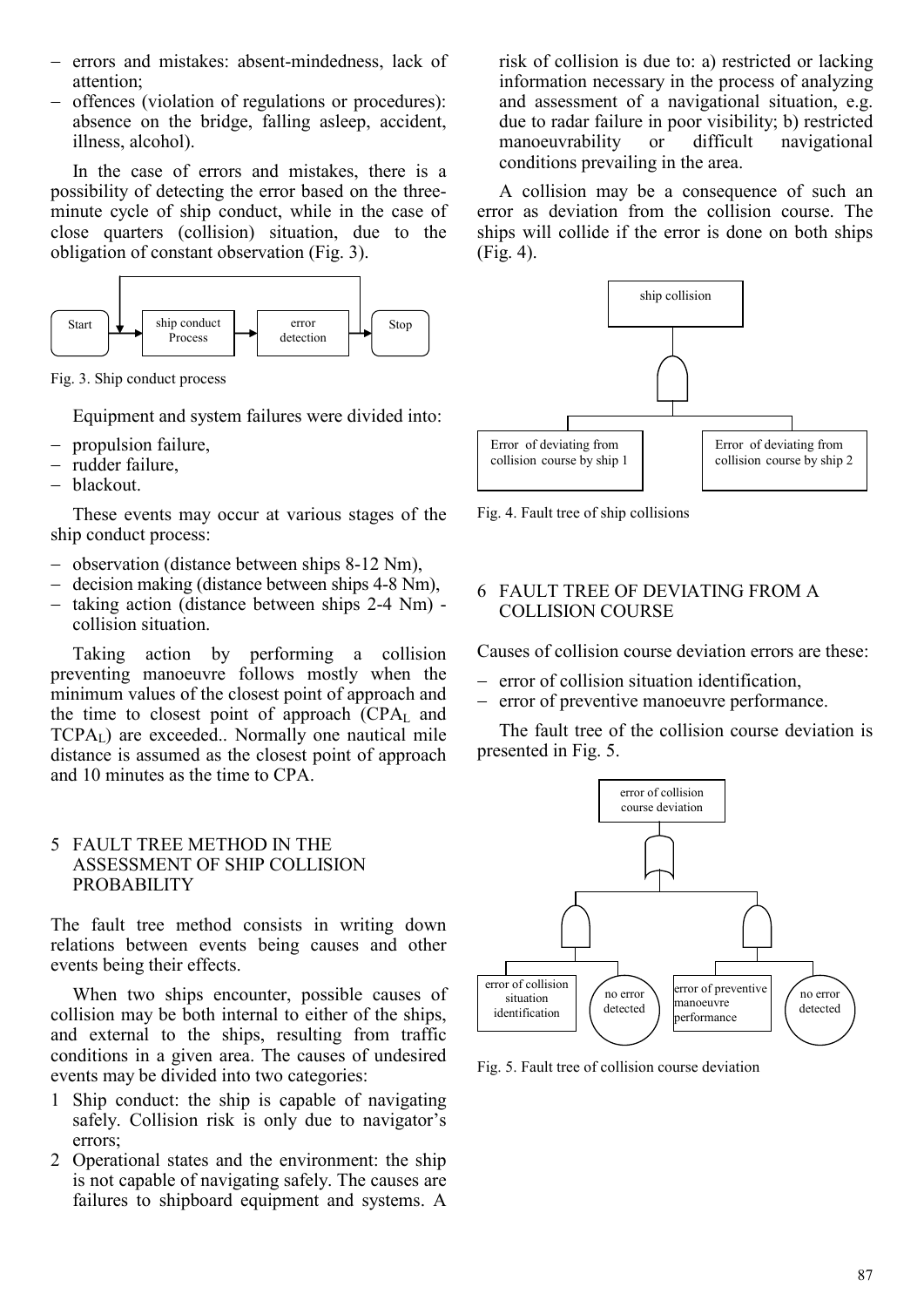- − errors and mistakes: absent-mindedness, lack of attention;
- offences (violation of regulations or procedures): absence on the bridge, falling asleep, accident, illness, alcohol).

In the case of errors and mistakes, there is a possibility of detecting the error based on the threeminute cycle of ship conduct, while in the case of close quarters (collision) situation, due to the obligation of constant observation (Fig. 3).



Fig. 3. Ship conduct process

Equipment and system failures were divided into:

- − propulsion failure,
- − rudder failure,
- − blackout.

These events may occur at various stages of the ship conduct process:

- − observation (distance between ships 8-12 Nm),
- − decision making (distance between ships 4-8 Nm),
- − taking action (distance between ships 2-4 Nm) collision situation.

Taking action by performing a collision preventing manoeuvre follows mostly when the minimum values of the closest point of approach and the time to closest point of approach  $(CPA<sub>L</sub>$  and  $TCPA<sub>L</sub>$ ) are exceeded.. Normally one nautical mile distance is assumed as the closest point of approach and 10 minutes as the time to CPA.

# 5 FAULT TREE METHOD IN THE ASSESSMENT OF SHIP COLLISION PROBABILITY

The fault tree method consists in writing down relations between events being causes and other events being their effects.

When two ships encounter, possible causes of collision may be both internal to either of the ships, and external to the ships, resulting from traffic conditions in a given area. The causes of undesired events may be divided into two categories:

- 1 Ship conduct: the ship is capable of navigating safely. Collision risk is only due to navigator's errors;
- 2 Operational states and the environment: the ship is not capable of navigating safely. The causes are failures to shipboard equipment and systems. A

risk of collision is due to: a) restricted or lacking information necessary in the process of analyzing and assessment of a navigational situation, e.g. due to radar failure in poor visibility; b) restricted manoeuvrability or difficult navigational conditions prevailing in the area.

A collision may be a consequence of such an error as deviation from the collision course. The ships will collide if the error is done on both ships (Fig. 4).



Fig. 4. Fault tree of ship collisions

# 6 FAULT TREE OF DEVIATING FROM A COLLISION COURSE

Causes of collision course deviation errors are these:

- − error of collision situation identification,
- − error of preventive manoeuvre performance.

The fault tree of the collision course deviation is presented in Fig. 5.



Fig. 5. Fault tree of collision course deviation